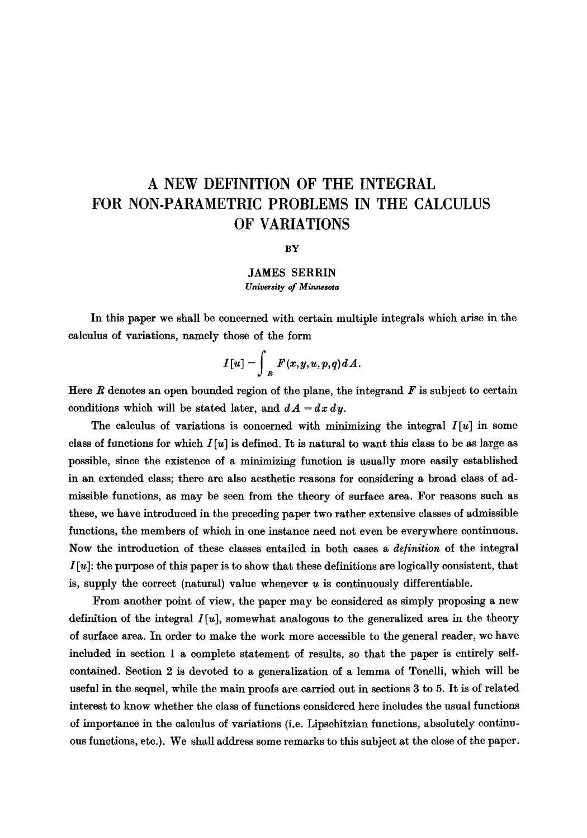# **A NEW DEFINITION OF THE INTEGRAL FOR NON-PARAMETRIC PROBLEMS IN THE CALCULUS OF VARIATIONS**

**BY** 

## **JAMES SERRIN**  *University of Minnesota*

In this paper we shall be concerned with certain multiple integrals which arise in the calculus of variations, namely those of the form

$$
I[u] = \int_R F(x, y, u, p, q) dA.
$$

Here  $R$  denotes an open bounded region of the plane, the integrand  $F$  is subject to certain conditions which will be stated later, and  $dA = dx dy$ .

The calculus of variations is concerned with minimizing the integral  $I[u]$  in some class of functions for which  $I[u]$  is defined. It is natural to want this class to be as large as possible, since the existence of a minimizing function is usually more easily established in an extended class; there are also aesthetic reasons for considering a broad class of admissible functions, as may be seen from the theory of surface area. For reasons such as these, we have introduced in the preceding paper two rather extensive classes of admissible functions, the members of which in one instance need not even be everywhere continuous. Now the introduction of these classes entailed in both cases a *de/inition* of the integral  $I[u]$ : the purpose of this paper is to show that these definitions are logically consistent, that is, supply the correct (natural) value whenever  $u$  is continuously differentiable.

From another point of view, the paper may be considered as simply proposing a new definition of the integral  $I[u]$ , somewhat analogous to the generalized area in the theory of surface area. In order to make the work more accessible to the general reader, we have included in section 1 a complete statement of results, so that the paper is entirely selfcontained. Section 2 is devoted to a generalization of a lemma of Tonelli, which will be useful in the sequel, while the main proofs are carried out in sections 3 to 5. It is of related interest to know whether the class of functions considered here includes the usual functions of importance in the calculus of variations (i.e. Lipschitzian functions, absolutely continuous functions, etc.). We shall address some remarks to this subject at the close of the paper.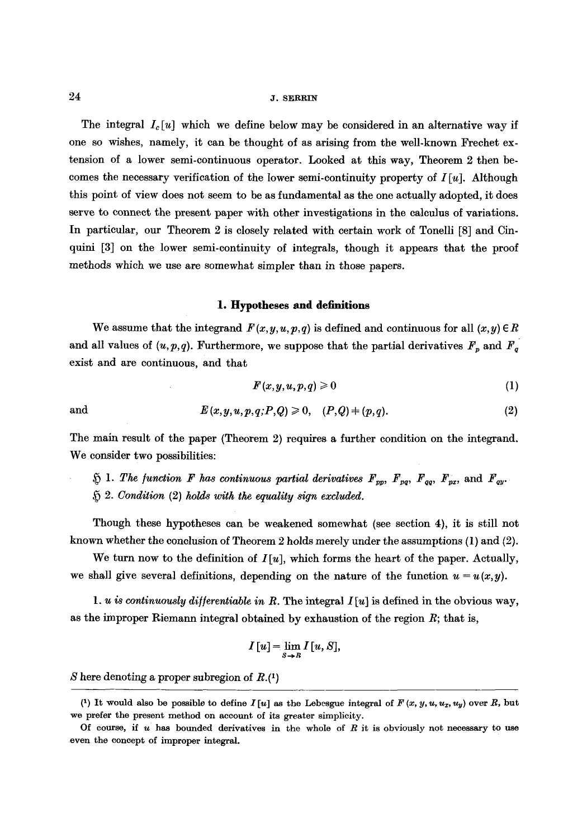The integral  $I_c[u]$  which we define below may be considered in an alternative way if one so wishes, namely, it can be thought of as arising from the well-known Frechet  $ex$ tension of a lower semi-continuous operator. Looked at this way, Theorem 2 then becomes the necessary verification of the lower semi-continuity property of  $I[u]$ . Although this point of view does not seem to be as fundamental as the one actually adopted, it does serve to connect the present paper with other investigations in the calculus of variations. In particular, our Theorem 2 is closely related with certain work of Tonelli [8] and Cinquini [3] on the lower semi-continuity of integrals, though it appears that the proof methods which we use are somewhat simpler than in those papers.

#### **1. Hypotheses and definitions**

We assume that the integrand  $F(x, y, u, p, q)$  is defined and continuous for all  $(x, y) \in R$ and all values of  $(u, p, q)$ . Furthermore, we suppose that the partial derivatives  $F_p$  and  $F_q$ exist and are continuous, and that

$$
F(x, y, u, p, q) \geqslant 0 \tag{1}
$$

and 
$$
E(x, y, u, p, q; P, Q) \ge 0, \quad (P, Q) \ne (p, q).
$$
 (2)

The main result of the paper (Theorem 2) requires a further condition on the integrand. We consider two possibilities:

 $\tilde{p}$  1. The function F has continuous partial derivatives  $F_{pp}$ ,  $F_{pq}$ ,  $F_{qq}$ ,  $F_{px}$ , and  $F_{qy}$ . *2. Condition* (2) *holds with the equality sign excluded.* 

Though these hypotheses can be weakened somewhat (see section 4), it is still not known whether the conclusion of Theorem 2 holds merely under the assumptions (1) and (2).

We turn now to the definition of  $I[u]$ , which forms the heart of the paper. Actually, we shall give several definitions, depending on the nature of the function  $u = u(x,y)$ .

1. u is continuously differentiable in R. The integral  $I[u]$  is defined in the obvious way, as the improper Riemann integral obtained by exhaustion of the region  $R$ ; that is,

$$
I[u] = \lim_{s \to R} I[u, S],
$$

S here denoting a proper subregion of  $R.(1)$ 

<sup>(1)</sup> It would also be possible to define  $I[u]$  as the Lebesgue integral of  $F(x, y, u, u_x, u_y)$  over R, but we prefer the present method on account of its greater simplicity.

Of course, if  $u$  has bounded derivatives in the whole of  $R$  it is obviously not necessary to use even the concept of improper integral.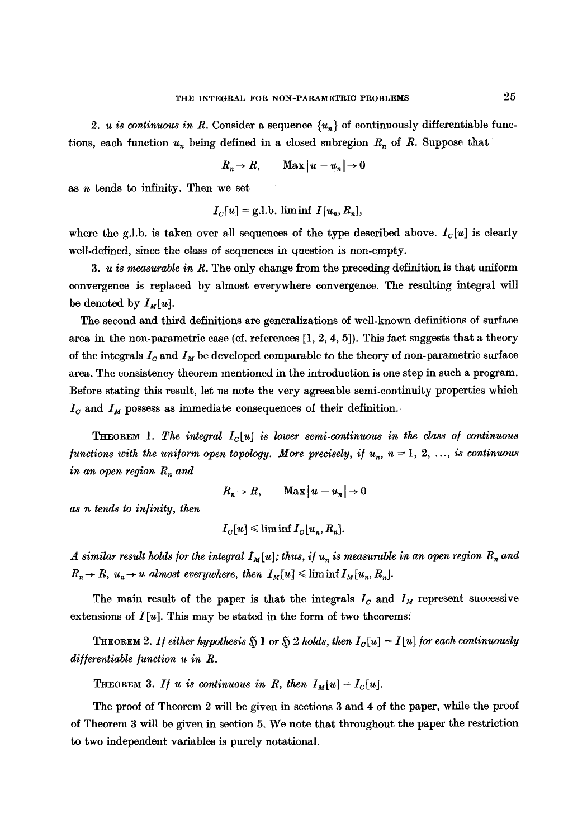2. *u is continuous in R.* Consider a sequence  $\{u_n\}$  of continuously differentiable functions, each function  $u_n$  being defined in a closed subregion  $R_n$  of R. Suppose that

$$
R_n \to R, \qquad \text{Max} \, |u - u_n| \to 0
$$

as  $n$  tends to infinity. Then we set

$$
I_C[u] = g.l.b. \text{ lim inf } I[u_n, R_n],
$$

where the g.l.b. is taken over all sequences of the type described above.  $I_c[u]$  is clearly well-defined, since the class of sequences in question is non-empty.

*3. u is measurable in R.* The only change from the preceding definition is that uniform convergence is replaced by almost everywhere convergence. The resulting integral will be denoted by  $I_M[u]$ .

The second and third definitions are generalizations of well-known definitions of surface area in the non-parametric case (cf. references  $[1, 2, 4, 5]$ ). This fact suggests that a theory of the integrals  $I_c$  and  $I_M$  be developed comparable to the theory of non-parametric surface area. The consistency theorem mentioned in the introduction is one step in such a program. Before stating this result, let us note the very agreeable semi-continuity properties which  $I_c$  and  $I_M$  possess as immediate consequences of their definition.

**THEOREM** 1. The integral  $I_c[u]$  is lower semi-continuous in the class of continuous *functions with the uniform open topology. More precisely, if*  $u_n$ ,  $n = 1, 2, \ldots$ , *is continuous in an open region*  $R_n$  and

$$
R_n \to R, \qquad \text{Max} \, |u - u_n| \to 0
$$

*as n tends to in/inity, then* 

$$
I_C[u] \leq \liminf I_C[u_n, R_n].
$$

*A similar result holds for the integral*  $I_M[u]$ ; thus, if  $u_n$  is measurable in an open region  $R_n$  and  $R_n \to R$ ,  $u_n \to u$  almost everywhere, then  $I_M[u] \leq \liminf I_M[u_n, R_n].$ 

The main result of the paper is that the integrals  $I_c$  and  $I_M$  represent successive extensions of  $I[u]$ . This may be stated in the form of two theorems:

**THEOREM** 2. If either hypothesis  $\mathfrak{H}$  1 or  $\mathfrak{H}$  2 holds, then  $I_c[u] = I[u]$  for each continuously *differentiable function u in R.* 

THEOREM 3. If u is continuous in R, then  $I_M[u] = I_C[u]$ .

The proof of Theorem 2 will be given in sections 3 and 4 of the paper, while the proof of Theorem 3 will be given in section 5. We note that throughout the paper the restriction to two independent variables is purely notational.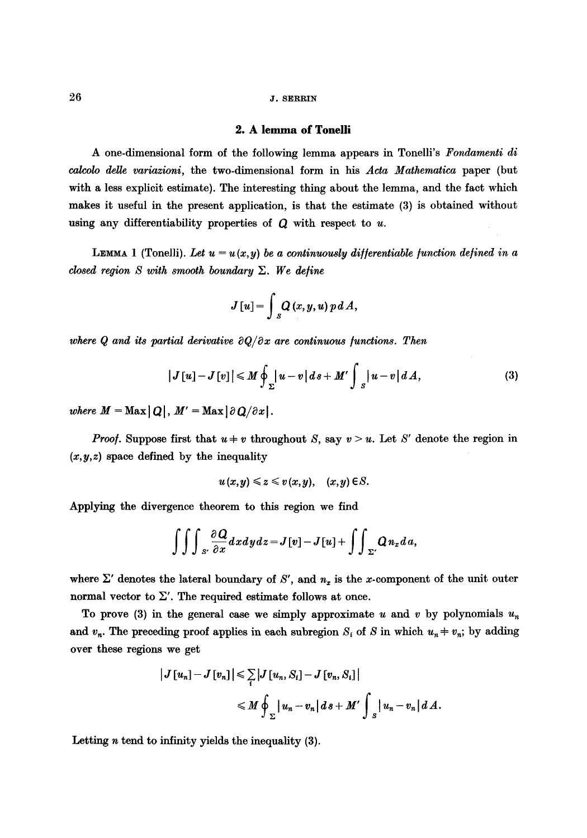#### **2. A lemma of Tonelli**

A one-dimensional form of the following lemma appears in Tonelli's *Fondamenti di calcolo deUe variazioni,* the two-dimensional form in his *Acta Mathematica* paper (but with a less explicit estimate). The interesting thing about the lemma, and the fact which makes it useful in the present application, is that the estimate (3) is obtained without using any differentiability properties of  $Q$  with respect to  $u$ .

LEMMA 1 (Tonelli). Let  $u = u(x,y)$  be a continuously differentiable function defined in a *closed region S with smooth boundary Z. We define* 

$$
J[u] = \int_{S} Q(x, y, u) \, p \, dA,
$$

where Q and its partial derivative  $\partial Q/\partial x$  are continuous functions. Then

$$
|J[u]-J[v]| \le M \oint_{\Sigma} |u-v| ds + M' \int_{S} |u-v| dA,
$$
 (3)

*where*  $M = \text{Max} |Q|$ ,  $M' = \text{Max} | \partial Q / \partial x |$ .

*Proof.* Suppose first that  $u + v$  throughout S, say  $v > u$ . Let S' denote the region in  $(x, y, z)$  space defined by the inequality

$$
u(x,y) \leq z \leq v(x,y), \quad (x,y) \in S.
$$

Applying the divergence theorem to this region we find

$$
\int\!\!\int\!\!\int\!\!\int_{S'} \frac{\partial\,Q}{\partial x} dx dy dz = J[v] - J[u] + \int\!\!\int_{\Sigma'} Q n_x d\,a,
$$

where  $\Sigma'$  denotes the lateral boundary of S', and  $n_x$  is the x-component of the unit outer normal vector to  $\Sigma'$ . The required estimate follows at once.

To prove (3) in the general case we simply approximate u and v by polynomials  $u_n$ and  $v_n$ . The preceding proof applies in each subregion  $S_i$  of S in which  $u_n \neq v_n$ ; by adding over these regions we get

$$
\begin{aligned} \left|J\left[u_n\right]-J\left[v_n\right]\right|&\leqslant \sum_{i}\left|J\left[u_n,S_i\right]-J\left[v_n,S_i\right]\right|\\&\leqslant M\oint_{\Sigma}\left|u_n-v_n\right|ds+M'\int_{S}\left|u_n-v_n\right|dA.\end{aligned}
$$

Letting  $n$  tend to infinity yields the inequality  $(3)$ .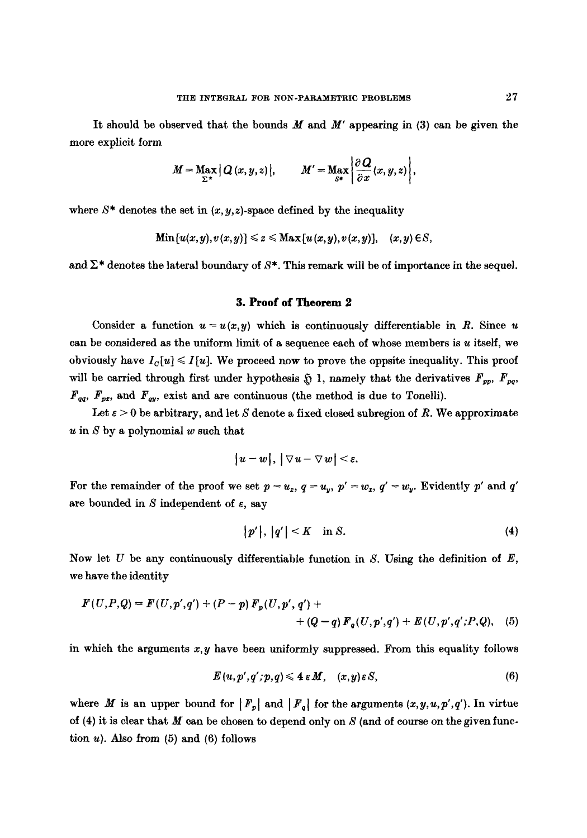It should be observed that the bounds  $M$  and  $M'$  appearing in (3) can be given the more explicit form

$$
M=\max_{\Sigma^*}|Q(x,y,z)|, \qquad M'=\max_{s^*}\bigg|\frac{\partial Q}{\partial x}(x,y,z)\bigg|,
$$

where  $S^*$  denotes the set in  $(x, y, z)$ -space defined by the inequality

$$
\mathrm{Min}[u(x,y),v(x,y)] \leq z \leq \mathrm{Max}[u(x,y),v(x,y)], \quad (x,y) \in S,
$$

and  $\Sigma^*$  denotes the lateral boundary of  $S^*$ . This remark will be of importance in the sequel.

#### **3. Proof of Theorem 2**

Consider a function  $u = u(x, y)$  which is continuously differentiable in R. Since u can be considered as the uniform limit of a sequence each of whose members is  $u$  itself, we obviously have  $I_c[u] \leq I[u]$ . We proceed now to prove the oppsite inequality. This proof will be carried through first under hypothesis  $\tilde{y}$  1, namely that the derivatives  $F_{pp}$ ,  $F_{pp}$ ,  $F_{qq}$ ,  $F_{px}$ , and  $F_{qy}$ , exist and are continuous (the method is due to Tonelli).

Let  $\varepsilon > 0$  be arbitrary, and let S denote a fixed closed subregion of R. We approximate  $u$  in  $S$  by a polynomial  $w$  such that

$$
|u-w|, |\nabla u-\nabla w|<\varepsilon.
$$

For the remainder of the proof we set  $p = u_x$ ,  $q = u_y$ ,  $p' = w_x$ ,  $q' = w_y$ . Evidently p' and q' are bounded in S independent of  $\varepsilon$ , say

$$
|p'|, |q'| < K \quad \text{in } S. \tag{4}
$$

Now let U be any continuously differentiable function in S. Using the definition of *E,*  we have the identity

$$
F(U, P, Q) = F(U, p', q') + (P - p) F_p(U, p', q') ++ (Q - q) F_q(U, p', q') + E(U, p', q'; P, Q), (5)
$$

in which the arguments *x,y* have been uniformly suppressed. From this equality follows

$$
E(u, p', q'; p, q) \leqslant 4 \epsilon M, \quad (x, y) \epsilon S, \tag{6}
$$

where M is an upper bound for  $|F_p|$  and  $|F_q|$  for the arguments  $(x,y,u,p',q')$ . In virtue of (4) it is clear that  $M$  can be chosen to depend only on  $S$  (and of course on the given function  $u$ ). Also from  $(5)$  and  $(6)$  follows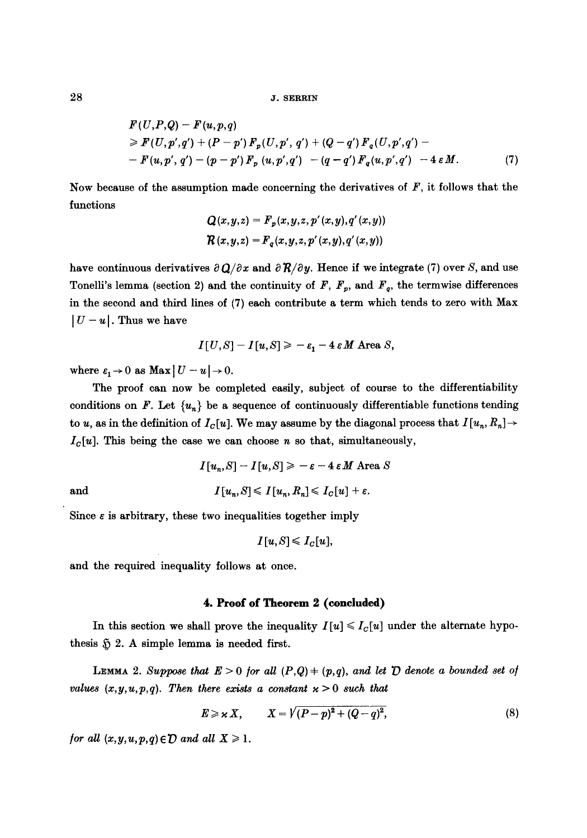28 J. SERRIN

$$
F(U,P,Q) - F(u,p,q)
$$
  
\n
$$
\geq F(U,p',q') + (P-p') F_p(U,p',q') + (Q-q') F_q(U,p',q') -
$$
  
\n
$$
- F(u,p',q') - (p-p') F_p(u,p',q') - (q-q') F_q(u,p',q') - 4 \epsilon M.
$$
 (7)

Now because of the assumption made concerning the derivatives of  $F$ , it follows that the functions

$$
Q(x,y,z) = F_p(x,y,z,p'(x,y),q'(x,y))
$$
  

$$
R(x,y,z) = F_q(x,y,z,p'(x,y),q'(x,y))
$$

have continuous derivatives  $\partial Q/\partial x$  and  $\partial R/\partial y$ . Hence if we integrate (7) over S, and use Tonelli's lemma (section 2) and the continuity of F,  $F_p$ , and  $F_q$ , the termwise differences in the second and third lines of (7) each contribute a term which tends to zero with Max  $|U - u|$ . Thus we have

$$
I[U,S]-I[u,S] \geqslant -\varepsilon_1-4\,\varepsilon M \text{ Area } S,
$$

where  $\varepsilon_1 \to 0$  as  $\text{Max} \mid U - u \mid \to 0$ .

The proof can now be completed easily, subject of course to the differentiability conditions on F. Let  $\{u_n\}$  be a sequence of continuously differentiable functions tending to u, as in the definition of  $I_c[u]$ . We may assume by the diagonal process that  $I[u_n, R_n] \rightarrow$  $I_c[u]$ . This being the case we can choose n so that, simultaneously,

$$
I[u_n, S] - I[u, S] \ge -\varepsilon - 4 \varepsilon M \text{ Area } S
$$
  
and  

$$
I[u_n, S] \le I[u_n, R_n] \le I_C[u] + \varepsilon.
$$

Since  $\varepsilon$  is arbitrary, these two inequalities together imply

$$
I[u,S] \leqslant I_C[u],
$$

and the required inequality follows at once.

#### 4. Proof of Theorem 2 **(concluded)**

In this section we shall prove the inequality  $I[u] \leq I_c[u]$  under the alternate hypothesis  $~5.2$ . A simple lemma is needed first.

LEMMA 2. Suppose that  $E > 0$  for all  $(P,Q) + (p,q)$ , and let  $D$  denote a bounded set of *values*  $(x, y, u, p, q)$ . Then there exists a constant  $x > 0$  such that

$$
E \geqslant \varkappa X, \qquad X = \sqrt{(P-p)^2 + (Q-q)^2}, \tag{8}
$$

*for all*  $(x, y, u, p, q) \in D$  *and all*  $X \geq 1$ *.*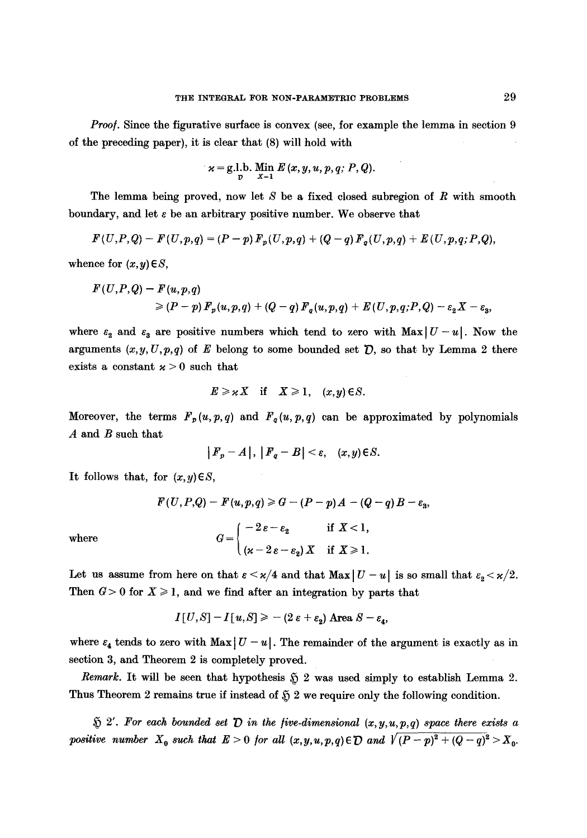*Proof.* Since the figurative surface is convex (see, for example the lemma in section 9 of the preceding paper), it is clear that (8) will hold with

$$
x = g.l.b. \lim_{x \to 1} E(x, y, u, p, q; P, Q).
$$

The lemma being proved, now let  $S$  be a fixed closed subregion of  $R$  with smooth boundary, and let  $\varepsilon$  be an arbitrary positive number. We observe that

$$
F(U,P,Q)-F(U,p,q)=(P-p) F_p(U,p,q)+(Q-q) F_q(U,p,q)+E(U,p,q;P,Q),
$$

whence for  $(x, y) \in S$ ,

$$
F(U,P,Q)-F(u,p,q)
$$
  
\n
$$
\geq (P-p) F_p(u,p,q) + (Q-q) F_q(u,p,q) + E(U,p,q;P,Q) - \varepsilon_2 X - \varepsilon_3,
$$

where  $\varepsilon_2$  and  $\varepsilon_3$  are positive numbers which tend to zero with Max  $|U-u|$ . Now the arguments  $(x, y, U, p, q)$  of E belong to some bounded set  $D$ , so that by Lemma 2 there exists a constant  $x > 0$  such that

$$
E \geqslant \varkappa X \quad \text{if} \quad X \geqslant 1, \quad (x, y) \in S.
$$

Moreover, the terms  $F_p(u,p,q)$  and  $F_q(u,p,q)$  can be approximated by polynomials A and B such that

$$
|F_p - A|, |F_q - B| < \varepsilon, \quad (x, y) \in S.
$$

It follows that, for  $(x, y) \in S$ ,

$$
F(U, P, Q) - F(u, p, q) \ge G - (P - p)A - (Q - q)B - \varepsilon_3,
$$
  
where  

$$
G = \begin{cases} -2 \varepsilon - \varepsilon_2 & \text{if } X < 1, \\ (\varepsilon - 2 \varepsilon - \varepsilon_2) X & \text{if } X \ge 1. \end{cases}
$$

Let us assume from here on that  $\varepsilon < \varkappa/4$  and that  $\text{Max} |U - u|$  is so small that  $\varepsilon_2 < \varkappa/2$ . Then  $G > 0$  for  $X \ge 1$ , and we find after an integration by parts that

 $I[U, S] - I[u, S] \geq - (2 \varepsilon + \varepsilon_2)$  Area  $S - \varepsilon_4$ ,

where  $\varepsilon_4$  tends to zero with Max  $|U - u|$ . The remainder of the argument is exactly as in section 3, and Theorem 2 is completely proved.

*Remark.* It will be seen that hypothesis  $\tilde{p}$  2 was used simply to establish Lemma 2. Thus Theorem 2 remains true if instead of  $$2$  we require only the following condition.

 $\tilde{p}$  2'. For each bounded set  $\tilde{p}$  in the *five-dimensional*  $(x,y,u,p,q)$  space there exists a *positive number*  $X_0$  such that  $E > 0$  for all  $(x, y, u, p, q) \in D$  and  $\sqrt{(P - p)^2 + (Q - q)^2} > X_0$ .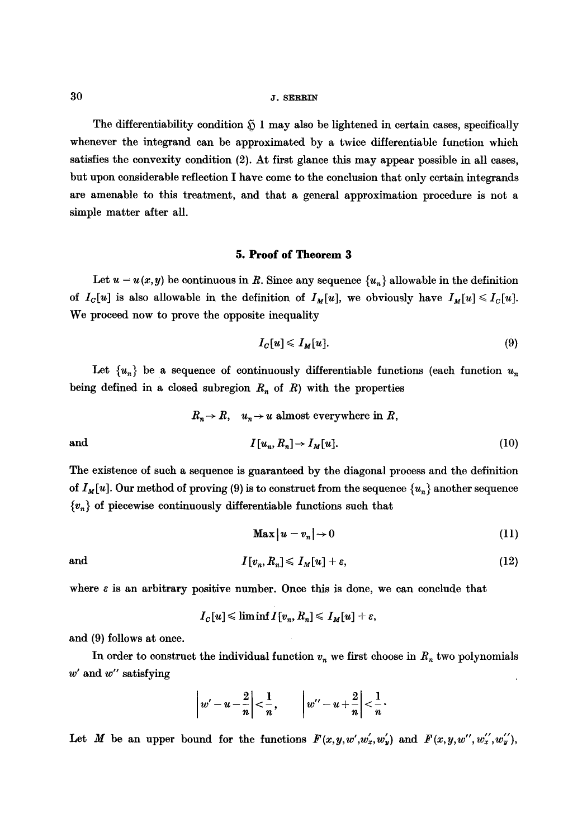#### 30 J. SERRIN

The differentiability condition  $\mathfrak{H}$  1 may also be lightened in certain cases, specifically whenever the integrand can be approximated by a twice differentiable function which satisfies the convexity condition (2). At first glance this may appear possible in all cases, but upon considerable reflection I have come to the conclusion that only certain integrands are amenable to this treatment, and that a general approximation procedure is not a simple matter after all.

## **5. Proof of Theorem 3**

Let  $u = u(x, y)$  be continuous in R. Since any sequence  $\{u_n\}$  allowable in the definition of  $I_c[u]$  is also allowable in the definition of  $I_M[u]$ , we obviously have  $I_M[u] \leq I_c[u]$ . We proceed now to prove the opposite inequality

$$
I_C[u] \leqslant I_M[u]. \tag{9}
$$

Let  $\{u_n\}$  be a sequence of continuously differentiable functions (each function  $u_n$ being defined in a closed subregion  $R_n$  of R) with the properties

$$
R_n \to R
$$
,  $u_n \to u$  almost everywhere in R,  
and  
 $I[u_n, R_n] \to I_M[u]$ . (10)

The existence of such a sequence is guaranteed by the diagonal process and the definition of  $I_M[u]$ . Our method of proving (9) is to construct from the sequence  $\{u_n\}$  another sequence  ${v_n}$  of piecewise continuously differentiable functions such that

$$
\mathbf{Max}\left|u-v_{n}\right|\to 0\tag{11}
$$

and 
$$
I[v_n, R_n] \leqslant I_M[u] + \varepsilon, \qquad (12)
$$

where  $\varepsilon$  is an arbitrary positive number. Once this is done, we can conclude that

$$
I_C[u] \leqslant \liminf I[v_n, R_n] \leqslant I_M[u] + \varepsilon,
$$

and (9) follows at once.

In order to construct the individual function  $v_n$  we first choose in  $R_n$  two polynomials  $w'$  and  $w''$  satisfying

$$
\left| w'-u-\frac{2}{n}\right|<\frac{1}{n},\qquad \left| w''-u+\frac{2}{n}\right|<\frac{1}{n}.
$$

Let M be an upper bound for the functions  $F(x,y,w',w'_x,w'_y)$  and  $F(x,y,w'',w'_x',w'_y')$ ,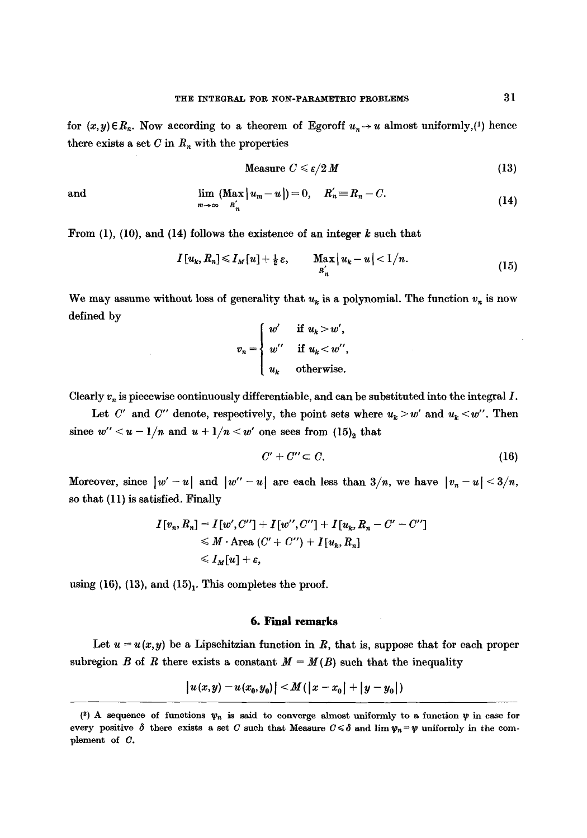for  $(x, y) \in R_n$ . Now according to a theorem of Egoroff  $u_n \to u$  almost uniformly,(1) hence there exists a set  $C$  in  $R_n$  with the properties

$$
\text{Measure } C \leqslant \varepsilon/2 \, M \tag{13}
$$

and 
$$
\lim_{m\to\infty} (\text{Max} |u_m - u|) = 0, \quad R'_n \equiv R_n - C.
$$
 (14)

From  $(1)$ ,  $(10)$ , and  $(14)$  follows the existence of an integer k such that

$$
I[u_k, R_n] \leq I_M[u] + \frac{1}{2}\varepsilon, \qquad \underset{R_n'}{\text{Max}}|u_k - u| < 1/n. \tag{15}
$$

We may assume without loss of generality that  $u_k$  is a polynomial. The function  $v_n$  is now defined by

$$
v_n = \begin{cases} w' & \text{if } u_k > w', \\ w'' & \text{if } u_k < w'', \\ u_k & \text{otherwise.} \end{cases}
$$

Clearly  $v_n$  is piecewise continuously differentiable, and can be substituted into the integral I.

Let *C'* and *C''* denote, respectively, the point sets where  $u_k > w'$  and  $u_k < w''$ . Then since  $w'' < u - 1/n$  and  $u + 1/n < w'$  one sees from  $(15)<sub>2</sub>$  that

$$
C' + C'' \subset C. \tag{16}
$$

Moreover, since  $|w'-u|$  and  $|w''-u|$  are each less than  $3/n$ , we have  $|v_n-u| \leq 3/n$ , so that (11) is satisfied. Finally

$$
I[v_n, R_n] = I[w', C''] + I[w'', C''] + I[u_k, R_n - C' - C'']
$$
  
\$\leq M \cdot \text{Area}(C' + C'') + I[u\_k, R\_n]\$  
\$\leq I\_M[u] + \varepsilon\$,

using (16), (13), and  $(15)<sub>1</sub>$ . This completes the proof.

#### **6. Final remarks**

Let  $u = u(x, y)$  be a Lipschitzian function in R, that is, suppose that for each proper subregion B of R there exists a constant  $M = M(B)$  such that the inequality

$$
|u(x,y)-u(x_0,y_0)| \leq M(|x-x_0|+|y-y_0|)
$$

<sup>(2)</sup> A sequence of functions  $\psi_n$  is said to converge almost uniformly to a function  $\psi$  in case for every positive  $\delta$  there exists a set C such that Measure  $C \leq \delta$  and lim  $\psi_n = \psi$  uniformly in the complement of C.